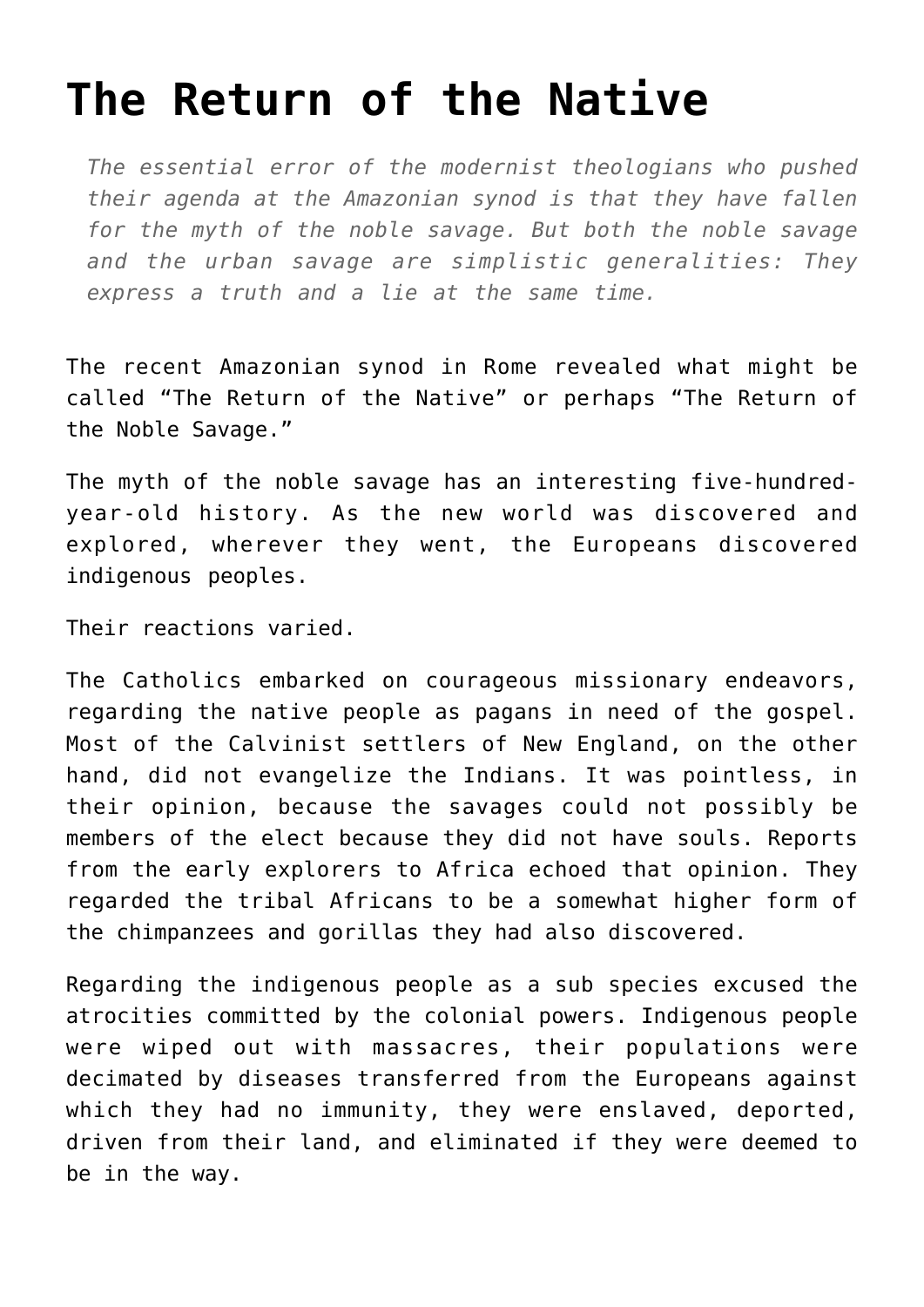## **[The Return of the Native](https://intellectualtakeout.org/2019/11/the-return-of-the-native/)**

*The essential error of the modernist theologians who pushed their agenda at the Amazonian synod is that they have fallen for the myth of the noble savage. But both the noble savage and the urban savage are simplistic generalities: They express a truth and a lie at the same time.*

The recent Amazonian synod in Rome revealed what might be called "The Return of the Native" or perhaps "The Return of the Noble Savage."

The myth of the noble savage has an interesting five-hundredyear-old history. As the new world was discovered and explored, wherever they went, the Europeans discovered indigenous peoples.

Their reactions varied.

The Catholics embarked on courageous missionary endeavors, regarding the native people as pagans in need of the gospel. Most of the Calvinist settlers of New England, on the other hand, did not evangelize the Indians. It was pointless, in their opinion, because the savages could not possibly be members of the elect because they did not have souls. Reports from the early explorers to Africa echoed that opinion. They regarded the tribal Africans to be a somewhat higher form of the chimpanzees and gorillas they had also discovered.

Regarding the indigenous people as a sub species excused the atrocities committed by the colonial powers. Indigenous people were wiped out with massacres, their populations were decimated by diseases transferred from the Europeans against which they had no immunity, they were enslaved, deported, driven from their land, and eliminated if they were deemed to be in the way.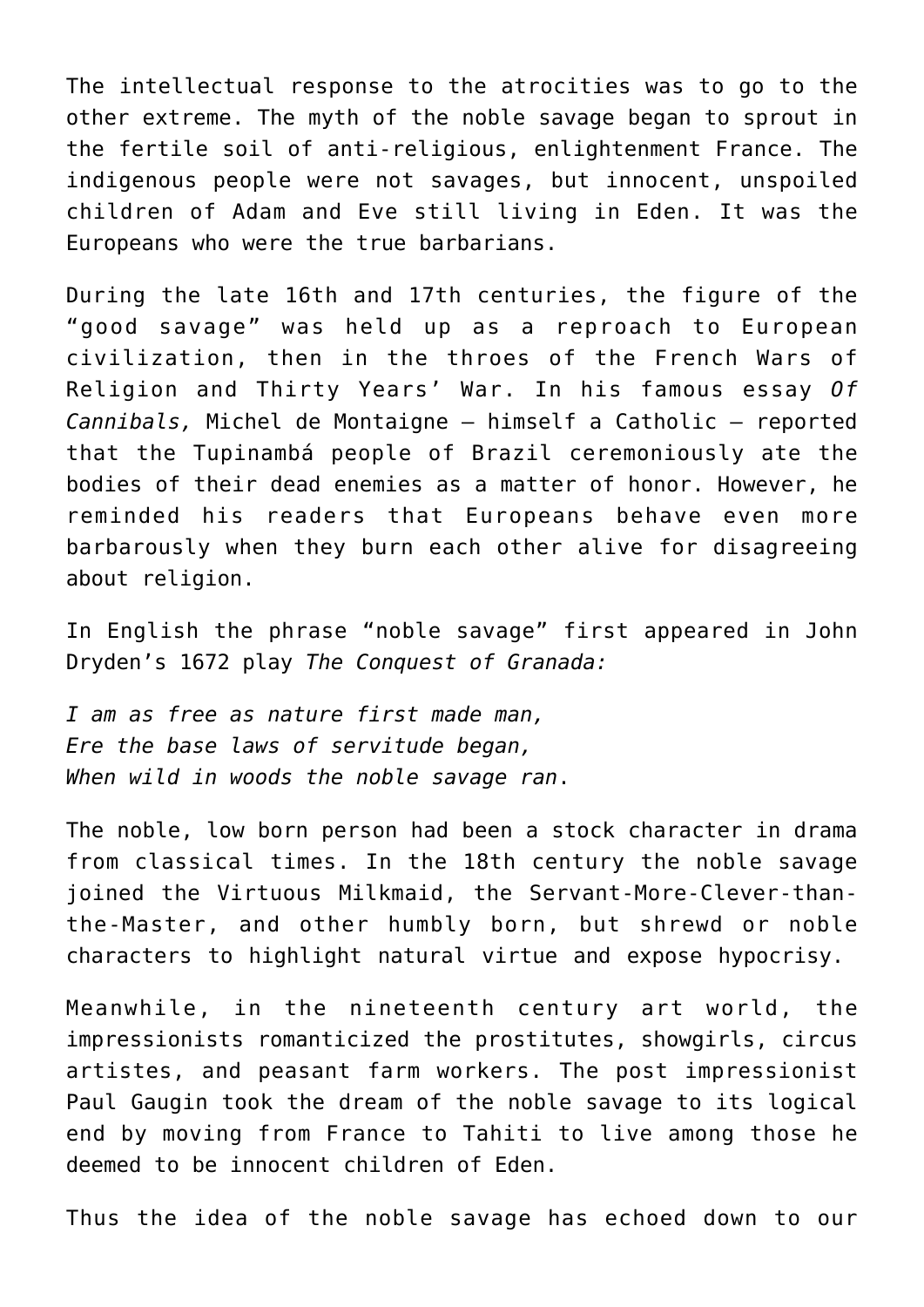The intellectual response to the atrocities was to go to the other extreme. The myth of the noble savage began to sprout in the fertile soil of anti-religious, enlightenment France. The indigenous people were not savages, but innocent, unspoiled children of Adam and Eve still living in Eden. It was the Europeans who were the true barbarians.

During the late 16th and 17th centuries, the figure of the "good savage" was held up as a reproach to European civilization, then in the throes of the French Wars of Religion and Thirty Years' War. In his famous essay *Of Cannibals,* Michel de Montaigne – himself a Catholic – reported that the Tupinambá people of Brazil ceremoniously ate the bodies of their dead enemies as a matter of honor. However, he reminded his readers that Europeans behave even more barbarously when they burn each other alive for disagreeing about religion.

In English the phrase "noble savage" first appeared in John Dryden's 1672 play *The Conquest of Granada:*

*I am as free as nature first made man, Ere the base laws of servitude began, When wild in woods the noble savage ran*.

The noble, low born person had been a stock character in drama from classical times. In the 18th century the noble savage joined the Virtuous Milkmaid, the Servant-More-Clever-thanthe-Master, and other humbly born, but shrewd or noble characters to highlight natural virtue and expose hypocrisy.

Meanwhile, in the nineteenth century art world, the impressionists romanticized the prostitutes, showgirls, circus artistes, and peasant farm workers. The post impressionist Paul Gaugin took the dream of the noble savage to its logical end by moving from France to Tahiti to live among those he deemed to be innocent children of Eden.

Thus the idea of the noble savage has echoed down to our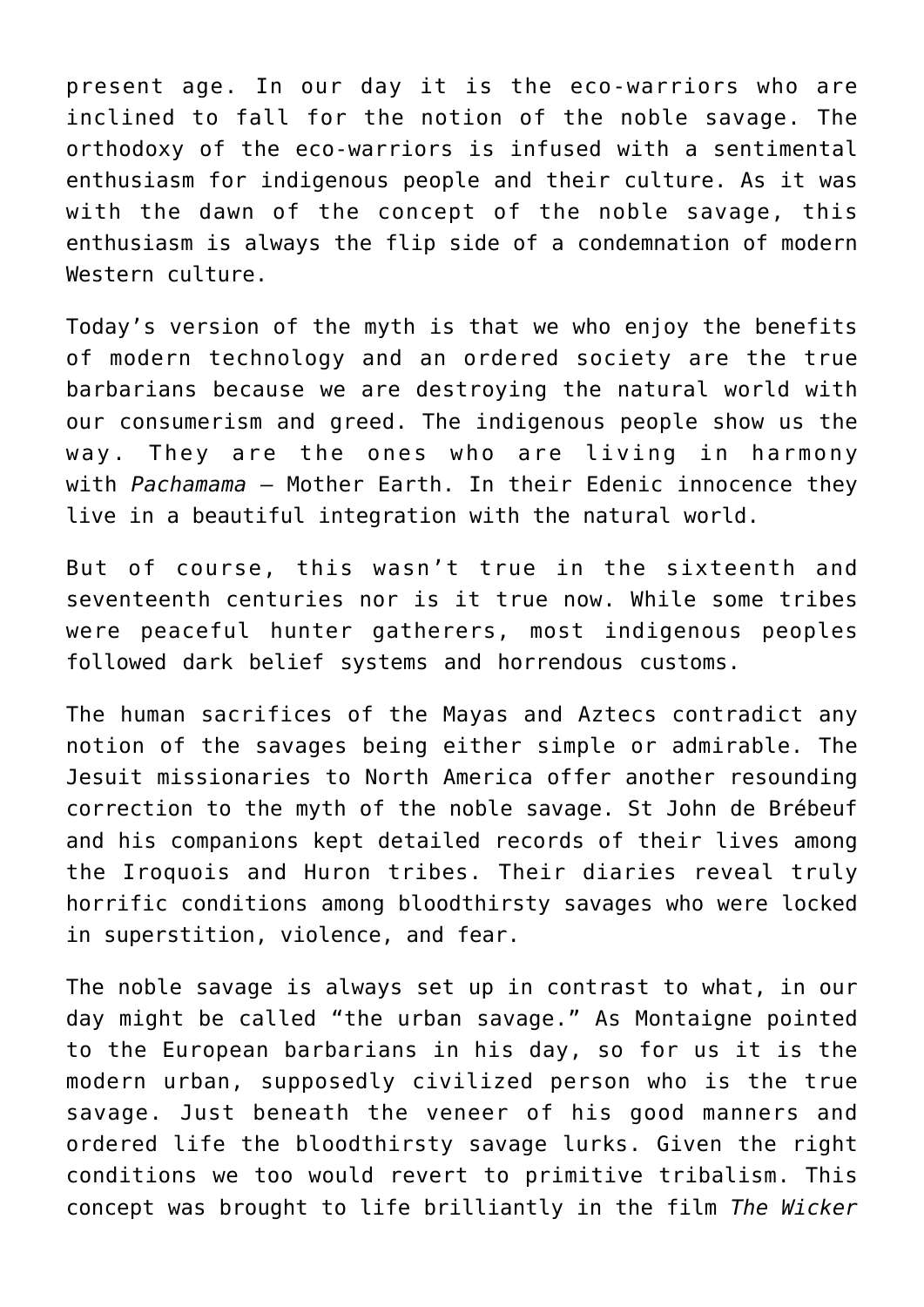present age. In our day it is the eco-warriors who are inclined to fall for the notion of the noble savage. The orthodoxy of the eco-warriors is infused with a sentimental enthusiasm for indigenous people and their culture. As it was with the dawn of the concept of the noble savage, this enthusiasm is always the flip side of a condemnation of modern Western culture.

Today's version of the myth is that we who enjoy the benefits of modern technology and an ordered society are the true barbarians because we are destroying the natural world with our consumerism and greed. The indigenous people show us the way. They are the ones who are living in harmony with *Pachamama* – Mother Earth. In their Edenic innocence they live in a beautiful integration with the natural world.

But of course, this wasn't true in the sixteenth and seventeenth centuries nor is it true now. While some tribes were peaceful hunter gatherers, most indigenous peoples followed dark belief systems and horrendous customs.

The human sacrifices of the Mayas and Aztecs contradict any notion of the savages being either simple or admirable. The Jesuit missionaries to North America offer another resounding correction to the myth of the noble savage. St John de Brébeuf and his companions kept detailed records of their lives among the Iroquois and Huron tribes. Their diaries reveal truly horrific conditions among bloodthirsty savages who were locked in superstition, violence, and fear.

The noble savage is always set up in contrast to what, in our day might be called "the urban savage." As Montaigne pointed to the European barbarians in his day, so for us it is the modern urban, supposedly civilized person who is the true savage. Just beneath the veneer of his good manners and ordered life the bloodthirsty savage lurks. Given the right conditions we too would revert to primitive tribalism. This concept was brought to life brilliantly in the film *The Wicker*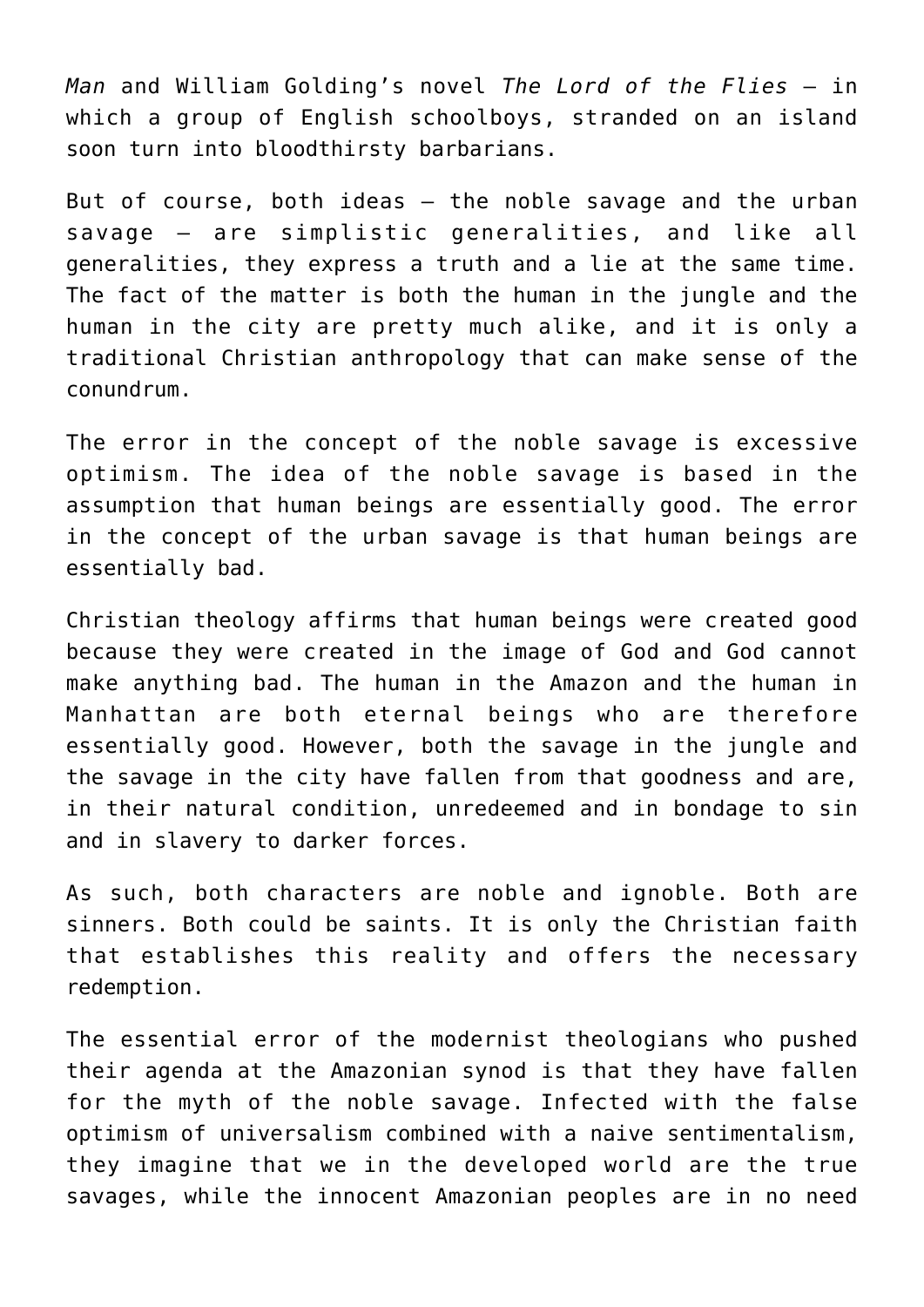*Man* and William Golding's novel *The Lord of the Flies* – in which a group of English schoolboys, stranded on an island soon turn into bloodthirsty barbarians.

But of course, both ideas – the noble savage and the urban savage – are simplistic generalities, and like all generalities, they express a truth and a lie at the same time. The fact of the matter is both the human in the jungle and the human in the city are pretty much alike, and it is only a traditional Christian anthropology that can make sense of the conundrum.

The error in the concept of the noble savage is excessive optimism. The idea of the noble savage is based in the assumption that human beings are essentially good. The error in the concept of the urban savage is that human beings are essentially bad.

Christian theology affirms that human beings were created good because they were created in the image of God and God cannot make anything bad. The human in the Amazon and the human in Manhattan are both eternal beings who are therefore essentially good. However, both the savage in the jungle and the savage in the city have fallen from that goodness and are, in their natural condition, unredeemed and in bondage to sin and in slavery to darker forces.

As such, both characters are noble and ignoble. Both are sinners. Both could be saints. It is only the Christian faith that establishes this reality and offers the necessary redemption.

The essential error of the modernist theologians who pushed their agenda at the Amazonian synod is that they have fallen for the myth of the noble savage. Infected with the false optimism of universalism combined with a naive sentimentalism, they imagine that we in the developed world are the true savages, while the innocent Amazonian peoples are in no need